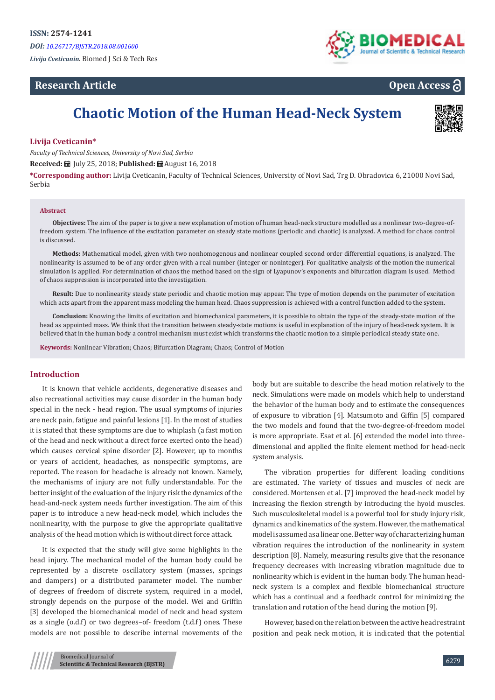# **Research Article**



**Open Access**

# **Chaotic Motion of the Human Head-Neck System**



# **Livija Cveticanin\***

*Faculty of Technical Sciences, University of Novi Sad, Serbia*

**Received:** July 25, 2018; **Published:** August 16, 2018

**\*Corresponding author:** Livija Cveticanin, Faculty of Technical Sciences, University of Novi Sad, Trg D. Obradovica 6, 21000 Novi Sad, Serbia

#### **Abstract**

**Objectives:** The aim of the paper is to give a new explanation of motion of human head-neck structure modelled as a nonlinear two-degree-offreedom system. The influence of the excitation parameter on steady state motions (periodic and chaotic) is analyzed. A method for chaos control is discussed.

**Methods:** Mathematical model, given with two nonhomogenous and nonlinear coupled second order differential equations, is analyzed. The nonlinearity is assumed to be of any order given with a real number (integer or noninteger). For qualitative analysis of the motion the numerical simulation is applied. For determination of chaos the method based on the sign of Lyapunov's exponents and bifurcation diagram is used. Method of chaos suppression is incorporated into the investigation.

**Result:** Due to nonlinearity steady state periodic and chaotic motion may appear. The type of motion depends on the parameter of excitation which acts apart from the apparent mass modeling the human head. Chaos suppression is achieved with a control function added to the system.

**Conclusion:** Knowing the limits of excitation and biomechanical parameters, it is possible to obtain the type of the steady-state motion of the head as appointed mass. We think that the transition between steady-state motions is useful in explanation of the injury of head-neck system. It is believed that in the human body a control mechanism must exist which transforms the chaotic motion to a simple periodical steady state one.

**Keywords:** Nonlinear Vibration; Chaos; Bifurcation Diagram; Chaos; Control of Motion

## **Introduction**

It is known that vehicle accidents, degenerative diseases and also recreational activities may cause disorder in the human body special in the neck - head region. The usual symptoms of injuries are neck pain, fatigue and painful lesions [1]. In the most of studies it is stated that these symptoms are due to whiplash (a fast motion of the head and neck without a direct force exerted onto the head) which causes cervical spine disorder [2]. However, up to months or years of accident, headaches, as nonspecific symptoms, are reported. The reason for headache is already not known. Namely, the mechanisms of injury are not fully understandable. For the better insight of the evaluation of the injury risk the dynamics of the head-and-neck system needs further investigation. The aim of this paper is to introduce a new head-neck model, which includes the nonlinearity, with the purpose to give the appropriate qualitative analysis of the head motion which is without direct force attack.

It is expected that the study will give some highlights in the head injury. The mechanical model of the human body could be represented by a discrete oscillatory system (masses, springs and dampers) or a distributed parameter model. The number of degrees of freedom of discrete system, required in a model, strongly depends on the purpose of the model. Wei and Griffin [3] developed the biomechanical model of neck and head system as a single (o.d.f) or two degrees–of- freedom (t.d.f) ones. These models are not possible to describe internal movements of the

body but are suitable to describe the head motion relatively to the neck. Simulations were made on models which help to understand the behavior of the human body and to estimate the consequences of exposure to vibration [4]. Matsumoto and Giffin [5] compared the two models and found that the two-degree-of-freedom model is more appropriate. Esat et al. [6] extended the model into threedimensional and applied the finite element method for head-neck system analysis.

The vibration properties for different loading conditions are estimated. The variety of tissues and muscles of neck are considered. Mortensen et al. [7] improved the head-neck model by increasing the flexion strength by introducing the hyoid muscles. Such musculoskeletal model is a powerful tool for study injury risk, dynamics and kinematics of the system. However, the mathematical model is assumed as a linear one. Better way of characterizing human vibration requires the introduction of the nonlinearity in system description [8]. Namely, measuring results give that the resonance frequency decreases with increasing vibration magnitude due to nonlinearity which is evident in the human body. The human headneck system is a complex and flexible biomechanical structure which has a continual and a feedback control for minimizing the translation and rotation of the head during the motion [9].

However, based on the relation between the active head restraint position and peak neck motion, it is indicated that the potential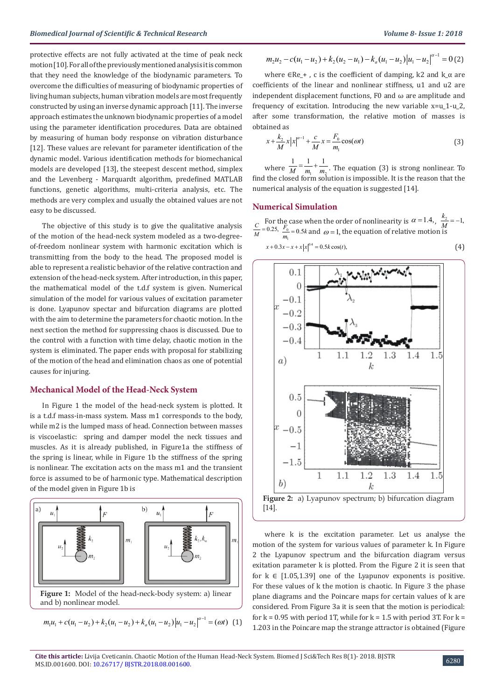protective effects are not fully activated at the time of peak neck motion [10]. For all of the previously mentioned analysis it is common that they need the knowledge of the biodynamic parameters. To overcome the difficulties of measuring of biodynamic properties of living human subjects, human vibration models are most frequently constructed by using an inverse dynamic approach [11]. The inverse approach estimates the unknown biodynamic properties of a model using the parameter identification procedures. Data are obtained by measuring of human body response on vibration disturbance [12]. These values are relevant for parameter identification of the dynamic model. Various identification methods for biomechanical models are developed [13], the steepest descent method, simplex and the Levenberg - Marquardt algorithm, predefined MATLAB functions, genetic algorithms, multi-criteria analysis, etc. The methods are very complex and usually the obtained values are not easy to be discussed.

The objective of this study is to give the qualitative analysis of the motion of the head-neck system modeled as a two-degreeof-freedom nonlinear system with harmonic excitation which is transmitting from the body to the head. The proposed model is able to represent a realistic behavior of the relative contraction and extension of the head-neck system. After introduction, in this paper, the mathematical model of the t.d.f system is given. Numerical simulation of the model for various values of excitation parameter is done. Lyapunov spectar and bifurcation diagrams are plotted with the aim to determine the parameters for chaotic motion. In the next section the method for suppressing chaos is discussed. Due to the control with a function with time delay, chaotic motion in the system is eliminated. The paper ends with proposal for stabilizing of the motion of the head and elimination chaos as one of potential causes for injuring.

# **Mechanical Model of the Head-Neck System**

In Figure 1 the model of the head-neck system is plotted. It is a t.d.f mass-in-mass system. Mass m1 corresponds to the body, while m2 is the lumped mass of head. Connection between masses is viscoelastic: spring and damper model the neck tissues and muscles. As it is already published, in Figure1a the stiffness of the spring is linear, while in Figure 1b the stiffness of the spring is nonlinear. The excitation acts on the mass m1 and the transient force is assumed to be of harmonic type. Mathematical description of the model given in Figure 1b is



**Figure 1:** Model of the head-neck-body system: a) linear and b) nonlinear model.

$$
m_1u_1 + c(u_1 - u_2) + k_2(u_1 - u_2) + k_a(u_1 - u_2)|u_1 - u_2|^{a-1} = (\omega t) \tag{1}
$$

$$
m_2u_2 - c(u_1 - u_2) + k_2(u_2 - u_1) - k_a(u_1 - u_2)|u_1 - u_2|^{a-1} = 0
$$
 (2)

where  $\in$ Re +, c is the coefficient of damping, k2 and k  $\alpha$  are coefficients of the linear and nonlinear stiffness, u1 and u2 are independent displacement functions, F0 and  $\omega$  are amplitude and frequency of excitation. Introducing the new variable x=u\_1-u\_2, after some transformation, the relative motion of masses is obtained as

$$
x + \frac{k_2}{M} x |x|^{\alpha - 1} + \frac{c}{M} x = \frac{F_0}{m_1} \cos(\omega t)
$$
 (3)

where  $\overline{M}$   $\overline{m_1}$   $\overline{m_2}$  $\frac{1}{M} = \frac{1}{m_1} + \frac{1}{m_2}$ . The equation (3) is strong nonlinear. To find the closed form solution is impossible. It is the reason that the numerical analysis of the equation is suggested [14].

#### **Numerical Simulation**

For the case when the order of nonlinearity is  $\alpha = 1.4$ ,  $\frac{k_2}{M} = -1$ ,  $\frac{F_0}{m_1} = 0.5k$  and  $\omega = 1$ , the equation of relative motion is 1

$$
x + 0.3x - x + x|x|^{0.4} = 0.5k\cos(t),
$$
 (4)



where k is the excitation parameter. Let us analyse the motion of the system for various values of parameter k. In Figure 2 the Lyapunov spectrum and the bifurcation diagram versus exitation parameter k is plotted. From the Figure 2 it is seen that for  $k \in [1.05, 1.39]$  one of the Lyapunov exponents is positive. For these values of k the motion is chaotic. In Figure 3 the phase plane diagrams and the Poincare maps for certain values of k are considered. From Figure 3a it is seen that the motion is periodical: for  $k = 0.95$  with period 1T, while for  $k = 1.5$  with period 3T. For  $k = 1.5$ 1.203 in the Poincare map the strange attractor is obtained (Figure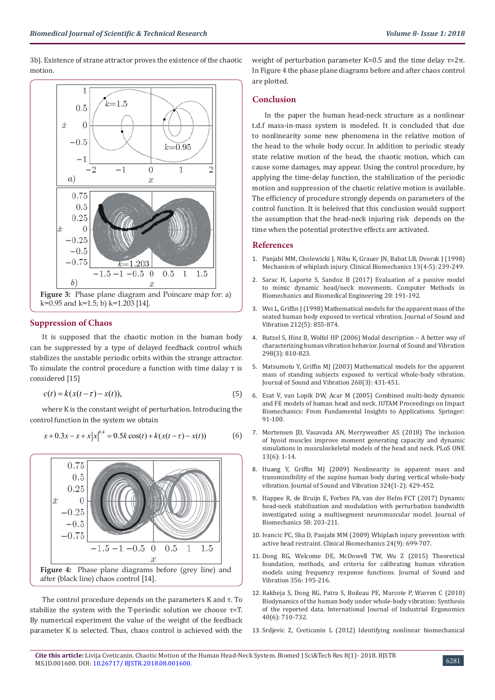3b). Existence of strane attractor proves the existence of the chaotic motion.



# **Suppression of Chaos**

It is supposed that the chaotic motion in the human body can be suppressed by a type of delayed feedback control which stabilizes the unstable periodic orbits within the strange attractor. To simulate the control procedure a function with time dalay τ is considered [15]

$$
c(t) = k(x(t-\tau) - x(t)),
$$
\n(5)

where K is the constant weight of perturbation. Introducing the control function in the system we obtain

$$
x + 0.3x - x + x |x|^{0.4} = 0.5k \cos(t) + k(x(t - \tau) - x(t))
$$
 (6)



The control procedure depends on the parameters K and τ. To stabilize the system with the T-periodic solution we choose  $\tau$ =T. By numerical experiment the value of the weight of the feedback parameter K is selected. Thus, chaos control is achieved with the weight of perturbation parameter K=0.5 and the time delay  $τ=2π$ . In Figure 4 the phase plane diagrams before and after chaos control are plotted.

# **Conclusion**

In the paper the human head-neck structure as a nonlinear t.d.f mass-in-mass system is modeled. It is concluded that due to nonlinearity some new phenomena in the relative motion of the head to the whole body occur. In addition to periodic steady state relative motion of the head, the chaotic motion, which can cause some damages, may appear. Using the control procedure, by applying the time-delay function, the stabilization of the periodic motion and suppression of the chaotic relative motion is available. The efficiency of procedure strongly depends on parameters of the control function. It is beleived that this conclusion would support the assumption that the head-neck injuring risk depends on the time when the potential protective effects are activated.

## **References**

- 1. [Panjabi MM, Cholewicki J, Nibu K, Grauer JN, Babat LB, Dvorak J \(1998\)](https://www.ncbi.nlm.nih.gov/pubmed/11415793) [Mechanism of whiplash injury. Clinical Biomechanics 13\(4-5\): 239-249.](https://www.ncbi.nlm.nih.gov/pubmed/11415793)
- 2. [Sarac H, Laporte S, Sandoz B \(2017\) Evaluation of a passive model](https://wwe.eurekamag.com/research/059/704/059704163.php) [to mimic dynamic head/neck movements. Computer Methods in](https://wwe.eurekamag.com/research/059/704/059704163.php) [Biomechanics and Biomedical Engineering 20: 191-192.](https://wwe.eurekamag.com/research/059/704/059704163.php)
- 3. [Wei L, Griffin J \(1998\) Mathematical models for the apparent mass of the](https://www.sciencedirect.com/science/article/pii/S0022460X97914735) [seated human body exposed to vertical vibration. Journal of Sound and](https://www.sciencedirect.com/science/article/pii/S0022460X97914735) [Vibration 212\(5\): 855-874.](https://www.sciencedirect.com/science/article/pii/S0022460X97914735)
- 4. [Rutzel S, Hinz B, Wolfel HP \(2006\) Modal description A better way of](https://www.sciencedirect.com/science/article/pii/S0022460X06004871) [characterizing human vibration behavior. Journal of Sound and Vibration](https://www.sciencedirect.com/science/article/pii/S0022460X06004871) [298\(3\): 810-823.](https://www.sciencedirect.com/science/article/pii/S0022460X06004871)
- 5. [Matsumoto Y, Griffin MJ \(2003\) Mathematical models for the apparent](https://www.sciencedirect.com/science/article/pii/S0022460X02009410) [mass of standing subjects exposed to vertical whole-body vibration.](https://www.sciencedirect.com/science/article/pii/S0022460X02009410) [Journal of Sound and Vibration 260\(3\): 431-451.](https://www.sciencedirect.com/science/article/pii/S0022460X02009410)
- 6. [Esat V, van Lopik DW, Acar M \(2005\) Combined multi-body dynamic](https://link.springer.com/chapter/10.1007/1-4020-3796-1_9) [and FE models of human head and neck. IUTAM Proceedings on Impact](https://link.springer.com/chapter/10.1007/1-4020-3796-1_9) [Biomechanics: From Fundamental Insights to Applications. Springer:](https://link.springer.com/chapter/10.1007/1-4020-3796-1_9) [91-100.](https://link.springer.com/chapter/10.1007/1-4020-3796-1_9)
- 7. [Mortensen JD, Vasavada AN, Merryweather AS \(2018\) The inclusion](http://journals.plos.org/plosone/article?id=10.1371/journal.pone.0199912) [of hyoid muscles improve moment generating capacity and dynamic](http://journals.plos.org/plosone/article?id=10.1371/journal.pone.0199912) [simulations in musculoskeletal models of the head and neck. PLoS ONE](http://journals.plos.org/plosone/article?id=10.1371/journal.pone.0199912) [13\(6\): 1-14.](http://journals.plos.org/plosone/article?id=10.1371/journal.pone.0199912)
- 8. [Huang Y, Griffin MJ \(2009\) Nonlinearity in apparent mass and](https://www.sciencedirect.com/science/article/pii/S0022460X0900162X) [transmissibility of the supine human body during vertical whole-body](https://www.sciencedirect.com/science/article/pii/S0022460X0900162X) [vibration. Journal of Sound and Vibration 324\(1-2\): 429-452.](https://www.sciencedirect.com/science/article/pii/S0022460X0900162X)
- 9. [Happee R, de Bruijn E, Forbes PA, van der Helm FCT \(2017\) Dynamic](https://www.ncbi.nlm.nih.gov/pubmed/28577906) [head-neck stabilization and modulation with perturbation bandwidth](https://www.ncbi.nlm.nih.gov/pubmed/28577906) [investigated using a multisegment neuromuscular model. Journal of](https://www.ncbi.nlm.nih.gov/pubmed/28577906) [Biomechanics 58: 203-211.](https://www.ncbi.nlm.nih.gov/pubmed/28577906)
- 10. [Ivancic PC, Sha D, Panjabi MM \(2009\) Whiplash injury prevention with](https://www.ncbi.nlm.nih.gov/pubmed/19666203) [active head restraint. Clinical Biomechanics 24\(9\): 699-707.](https://www.ncbi.nlm.nih.gov/pubmed/19666203)
- 11. [Dong RG, Welcome DE, McDowell TW, Wu Z \(2015\) Theoretical](https://www.sciencedirect.com/science/article/pii/S0022460X15005489) [foundation, methods, and criteria for calibrating human vibration](https://www.sciencedirect.com/science/article/pii/S0022460X15005489) [models using frequency response functions. Journal of Sound and](https://www.sciencedirect.com/science/article/pii/S0022460X15005489) [Vibration 356: 195-216.](https://www.sciencedirect.com/science/article/pii/S0022460X15005489)
- 12. [Rakheja S, Dong RG, Patra S, Boileau PE, Marcote P, Warren C \(2010\)](https://www.sciencedirect.com/science/article/abs/pii/S0169814110000697) [Biodynamics of the human body under whole-body vibration: Synthesis](https://www.sciencedirect.com/science/article/abs/pii/S0169814110000697) [of the reported data. International Journal of Industrial Ergonomics](https://www.sciencedirect.com/science/article/abs/pii/S0169814110000697) [40\(6\): 710-732.](https://www.sciencedirect.com/science/article/abs/pii/S0169814110000697)
- 13. [Srdjevic Z, Cveticanin L \(2012\) Identifying nonlinear biomechanical](https://www.sciencedirect.com/science/article/pii/S0022460X11008236)